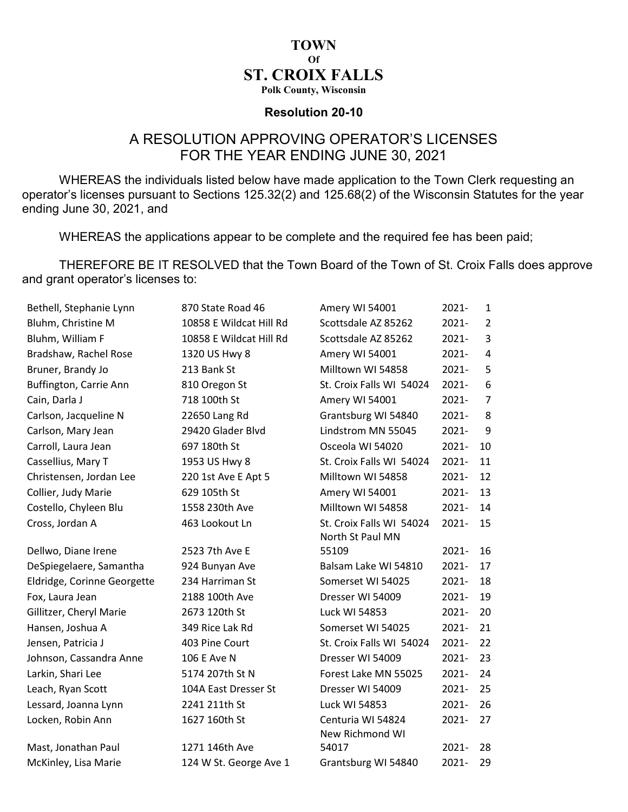## **TOWN** Of ST. CROIX FALLS

Polk County, Wisconsin

## Resolution 20-10

## A RESOLUTION APPROVING OPERATOR'S LICENSES FOR THE YEAR ENDING JUNE 30, 2021

WHEREAS the individuals listed below have made application to the Town Clerk requesting an operator's licenses pursuant to Sections 125.32(2) and 125.68(2) of the Wisconsin Statutes for the year ending June 30, 2021, and

WHEREAS the applications appear to be complete and the required fee has been paid;

THEREFORE BE IT RESOLVED that the Town Board of the Town of St. Croix Falls does approve and grant operator's licenses to:

| Bethell, Stephanie Lynn     | 870 State Road 46       | Amery WI 54001                               | $2021 -$ | 1              |
|-----------------------------|-------------------------|----------------------------------------------|----------|----------------|
| Bluhm, Christine M          | 10858 E Wildcat Hill Rd | Scottsdale AZ 85262                          | $2021 -$ | $\overline{2}$ |
| Bluhm, William F            | 10858 E Wildcat Hill Rd | Scottsdale AZ 85262                          | $2021 -$ | 3              |
| Bradshaw, Rachel Rose       | 1320 US Hwy 8           | Amery WI 54001                               | 2021-    | 4              |
| Bruner, Brandy Jo           | 213 Bank St             | Milltown WI 54858                            | $2021 -$ | 5              |
| Buffington, Carrie Ann      | 810 Oregon St           | St. Croix Falls WI 54024                     | $2021 -$ | 6              |
| Cain, Darla J               | 718 100th St            | Amery WI 54001                               | 2021-    | $\overline{7}$ |
| Carlson, Jacqueline N       | 22650 Lang Rd           | Grantsburg WI 54840                          | $2021 -$ | 8              |
| Carlson, Mary Jean          | 29420 Glader Blvd       | Lindstrom MN 55045                           | $2021 -$ | 9              |
| Carroll, Laura Jean         | 697 180th St            | Osceola WI 54020                             | $2021 -$ | 10             |
| Cassellius, Mary T          | 1953 US Hwy 8           | St. Croix Falls WI 54024                     | $2021 -$ | 11             |
| Christensen, Jordan Lee     | 220 1st Ave E Apt 5     | Milltown WI 54858                            | $2021 -$ | 12             |
| Collier, Judy Marie         | 629 105th St            | Amery WI 54001                               | 2021-    | 13             |
| Costello, Chyleen Blu       | 1558 230th Ave          | Milltown WI 54858                            | $2021 -$ | 14             |
| Cross, Jordan A             | 463 Lookout Ln          | St. Croix Falls WI 54024<br>North St Paul MN | $2021 -$ | 15             |
| Dellwo, Diane Irene         | 2523 7th Ave E          | 55109                                        | $2021 -$ | 16             |
| DeSpiegelaere, Samantha     | 924 Bunyan Ave          | Balsam Lake WI 54810                         | $2021 -$ | 17             |
| Eldridge, Corinne Georgette | 234 Harriman St         | Somerset WI 54025                            | $2021 -$ | 18             |
| Fox, Laura Jean             | 2188 100th Ave          | Dresser WI 54009                             | $2021 -$ | 19             |
| Gillitzer, Cheryl Marie     | 2673 120th St           | Luck WI 54853                                | $2021 -$ | 20             |
| Hansen, Joshua A            | 349 Rice Lak Rd         | Somerset WI 54025                            | $2021 -$ | 21             |
| Jensen, Patricia J          | 403 Pine Court          | St. Croix Falls WI 54024                     | $2021 -$ | 22             |
| Johnson, Cassandra Anne     | 106 E Ave N             | Dresser WI 54009                             | 2021-    | 23             |
| Larkin, Shari Lee           | 5174 207th St N         | Forest Lake MN 55025                         | $2021 -$ | 24             |
| Leach, Ryan Scott           | 104A East Dresser St    | Dresser WI 54009                             | 2021-    | 25             |
| Lessard, Joanna Lynn        | 2241 211th St           | Luck WI 54853                                | 2021-    | 26             |
| Locken, Robin Ann           | 1627 160th St           | Centuria WI 54824<br>New Richmond WI         | $2021 -$ | 27             |
| Mast, Jonathan Paul         | 1271 146th Ave          | 54017                                        | $2021 -$ | 28             |
| McKinley, Lisa Marie        | 124 W St. George Ave 1  | Grantsburg WI 54840                          | 2021-    | 29             |
|                             |                         |                                              |          |                |